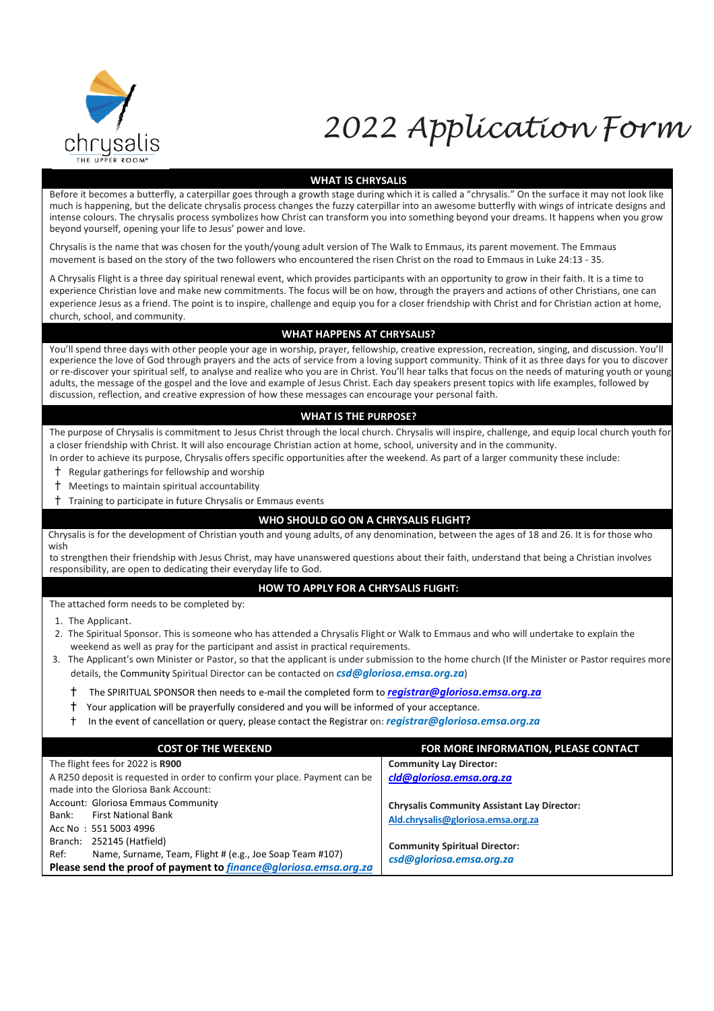

# 2022 Application Form

#### **WHAT IS CHRYSALIS**

Before it becomes a butterfly, a caterpillar goes through a growth stage during which it is called a "chrysalis." On the surface it may not look like much is happening, but the delicate chrysalis process changes the fuzzy caterpillar into an awesome butterfly with wings of intricate designs and intense colours. The chrysalis process symbolizes how Christ can transform you into something beyond your dreams. It happens when you grow beyond yourself, opening your life to Jesus' power and love.

Chrysalis is the name that was chosen for the youth/young adult version of The Walk to Emmaus, its parent movement. The Emmaus movement is based on the story of the two followers who encountered the risen Christ on the road to Emmaus in Luke 24:13 - 35.

A Chrysalis Flight is a three day spiritual renewal event, which provides participants with an opportunity to grow in their faith. It is a time to experience Christian love and make new commitments. The focus will be on how, through the prayers and actions of other Christians, one can experience Jesus as a friend. The point is to inspire, challenge and equip you for a closer friendship with Christ and for Christian action at home, church, school, and community.

### **WHAT HAPPENS AT CHRYSALIS?**

You'll spend three days with other people your age in worship, prayer, fellowship, creative expression, recreation, singing, and discussion. You'll experience the love of God through prayers and the acts of service from a loving support community. Think of it as three days for you to discover or re-discover your spiritual self, to analyse and realize who you are in Christ. You'll hear talks that focus on the needs of maturing youth or young adults, the message of the gospel and the love and example of Jesus Christ. Each day speakers present topics with life examples, followed by discussion, reflection, and creative expression of how these messages can encourage your personal faith.

#### **WHAT IS THE PURPOSE?**

The purpose of Chrysalis is commitment to Jesus Christ through the local church. Chrysalis will inspire, challenge, and equip local church youth for a closer friendship with Christ. It will also encourage Christian action at home, school, university and in the community.

In order to achieve its purpose, Chrysalis offers specific opportunities after the weekend. As part of a larger community these include:

- † Regular gatherings for fellowship and worship
- † Meetings to maintain spiritual accountability
- † Training to participate in future Chrysalis or Emmaus events

### **WHO SHOULD GO ON A CHRYSALIS FLIGHT?**

Chrysalis is for the development of Christian youth and young adults, of any denomination, between the ages of 18 and 26. It is for those who wish

to strengthen their friendship with Jesus Christ, may have unanswered questions about their faith, understand that being a Christian involves responsibility, are open to dedicating their everyday life to God.

### **HOW TO APPLY FOR A CHRYSALIS FLIGHT:**

The attached form needs to be completed by:

1. The Applicant.

- 2. The Spiritual Sponsor. This is someone who has attended a Chrysalis Flight or Walk to Emmaus and who will undertake to explain the weekend as well as pray for the participant and assist in practical requirements.
- 3. The Applicant's own Minister or Pastor, so that the applicant is under submission to the home church (If the Minister or Pastor requires more details, the Community Spiritual Director can be contacted on *csd@gloriosa.emsa.org.za*)
	- † The SPIRITUAL SPONSOR then needs to e-mail the completed form to *registrar@gloriosa.emsa.org.za*
	- † Your application will be prayerfully considered and you will be informed of your acceptance.
	- † In the event of cancellation or query, please contact the Registrar on: *registrar@gloriosa.emsa.org.za*

| <b>COST OF THE WEEKEND</b>                                                                                                                                               | FOR MORE INFORMATION, PLEASE CONTACT                                                     |
|--------------------------------------------------------------------------------------------------------------------------------------------------------------------------|------------------------------------------------------------------------------------------|
| The flight fees for 2022 is R900<br>A R250 deposit is requested in order to confirm your place. Payment can be<br>made into the Gloriosa Bank Account:                   | <b>Community Lay Director:</b><br>cld@gloriosa.emsa.org.za                               |
| Account: Gloriosa Emmaus Community<br><b>First National Bank</b><br>Bank:<br>Acc No: 551 5003 4996                                                                       | <b>Chrysalis Community Assistant Lay Director:</b><br>Ald.chrysalis@gloriosa.emsa.org.za |
| Branch: 252145 (Hatfield)<br>Name, Surname, Team, Flight # (e.g., Joe Soap Team #107)<br>Ref:<br>Please send the proof of payment to <i>finance@gloriosa.emsa.org.za</i> | <b>Community Spiritual Director:</b><br>csd@gloriosa.emsa.org.za                         |